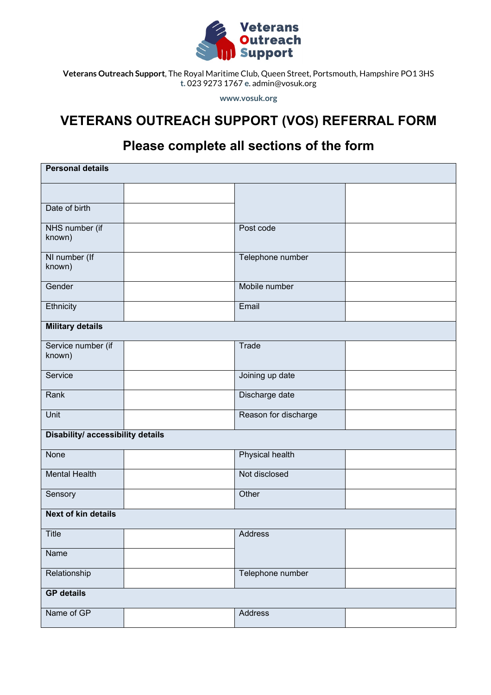

**Veterans Outreach Support**, The Royal Maritime Club, Queen Street, Portsmouth, Hampshire PO1 3HS **t.** 023 9273 1767 **e**. admin@vosuk.org

**www.vosuk.org**

## **VETERANS OUTREACH SUPPORT (VOS) REFERRAL FORM**

## **Please complete all sections of the form**

| <b>Personal details</b>           |  |                        |  |  |
|-----------------------------------|--|------------------------|--|--|
|                                   |  |                        |  |  |
| Date of birth                     |  |                        |  |  |
| NHS number (if<br>known)          |  | Post code              |  |  |
| NI number (If<br>known)           |  | Telephone number       |  |  |
| Gender                            |  | Mobile number          |  |  |
| Ethnicity                         |  | Email                  |  |  |
| <b>Military details</b>           |  |                        |  |  |
| Service number (if<br>known)      |  | Trade                  |  |  |
| Service                           |  | Joining up date        |  |  |
| Rank                              |  | Discharge date         |  |  |
| Unit                              |  | Reason for discharge   |  |  |
| Disability/ accessibility details |  |                        |  |  |
| None                              |  | <b>Physical health</b> |  |  |
| <b>Mental Health</b>              |  | Not disclosed          |  |  |
| Sensory                           |  | Other                  |  |  |
| <b>Next of kin details</b>        |  |                        |  |  |
| Title                             |  | Address                |  |  |
| Name                              |  |                        |  |  |
| Relationship                      |  | Telephone number       |  |  |
| <b>GP</b> details                 |  |                        |  |  |
| Name of GP                        |  | Address                |  |  |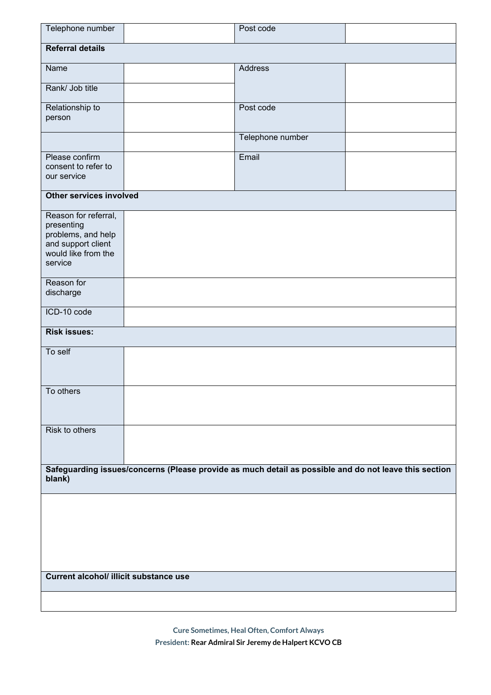| Telephone number                                                                                                 |         | Post code        |  |  |
|------------------------------------------------------------------------------------------------------------------|---------|------------------|--|--|
| <b>Referral details</b>                                                                                          |         |                  |  |  |
| Name                                                                                                             | Address |                  |  |  |
| Rank/ Job title                                                                                                  |         |                  |  |  |
| Relationship to<br>person                                                                                        |         | Post code        |  |  |
|                                                                                                                  |         | Telephone number |  |  |
| Please confirm<br>consent to refer to<br>our service                                                             | Email   |                  |  |  |
| Other services involved                                                                                          |         |                  |  |  |
| Reason for referral,<br>presenting<br>problems, and help<br>and support client<br>would like from the<br>service |         |                  |  |  |
| Reason for<br>discharge                                                                                          |         |                  |  |  |
| ICD-10 code                                                                                                      |         |                  |  |  |
| <b>Risk issues:</b>                                                                                              |         |                  |  |  |
| To self                                                                                                          |         |                  |  |  |
| To others                                                                                                        |         |                  |  |  |
| Risk to others                                                                                                   |         |                  |  |  |
| Safeguarding issues/concerns (Please provide as much detail as possible and do not leave this section<br>blank)  |         |                  |  |  |
|                                                                                                                  |         |                  |  |  |
|                                                                                                                  |         |                  |  |  |
|                                                                                                                  |         |                  |  |  |
| Current alcohol/ illicit substance use                                                                           |         |                  |  |  |
|                                                                                                                  |         |                  |  |  |

**Cure Sometimes, Heal Often, Comfort Always President: Rear Admiral Sir Jeremy de Halpert KCVO CB**